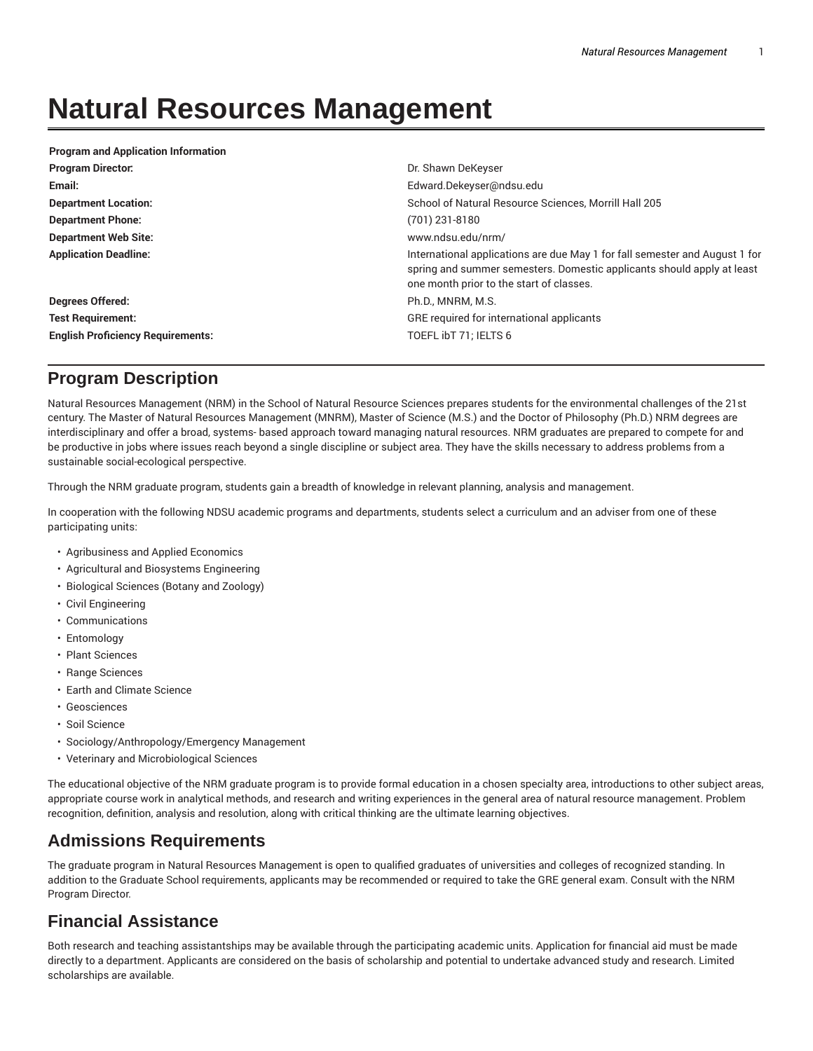## **Natural Resources Management**

| Dr. Shawn DeKeyser                                                                                                                                                                                |
|---------------------------------------------------------------------------------------------------------------------------------------------------------------------------------------------------|
| Edward.Dekeyser@ndsu.edu                                                                                                                                                                          |
| School of Natural Resource Sciences, Morrill Hall 205                                                                                                                                             |
| $(701)$ 231-8180                                                                                                                                                                                  |
| www.ndsu.edu/nrm/                                                                                                                                                                                 |
| International applications are due May 1 for fall semester and August 1 for<br>spring and summer semesters. Domestic applicants should apply at least<br>one month prior to the start of classes. |
| Ph.D., MNRM, M.S.                                                                                                                                                                                 |
| GRE required for international applicants                                                                                                                                                         |
| TOEFL ibT 71; IELTS 6                                                                                                                                                                             |
|                                                                                                                                                                                                   |

## **Program Description**

Natural Resources Management (NRM) in the School of Natural Resource Sciences prepares students for the environmental challenges of the 21st century. The Master of Natural Resources Management (MNRM), Master of Science (M.S.) and the Doctor of Philosophy (Ph.D.) NRM degrees are interdisciplinary and offer a broad, systems- based approach toward managing natural resources. NRM graduates are prepared to compete for and be productive in jobs where issues reach beyond a single discipline or subject area. They have the skills necessary to address problems from a sustainable social-ecological perspective.

Through the NRM graduate program, students gain a breadth of knowledge in relevant planning, analysis and management.

In cooperation with the following NDSU academic programs and departments, students select a curriculum and an adviser from one of these participating units:

- Agribusiness and Applied Economics
- Agricultural and Biosystems Engineering
- Biological Sciences (Botany and Zoology)
- Civil Engineering
- Communications
- Entomology
- Plant Sciences
- Range Sciences
- Earth and Climate Science
- Geosciences
- Soil Science
- Sociology/Anthropology/Emergency Management
- Veterinary and Microbiological Sciences

The educational objective of the NRM graduate program is to provide formal education in a chosen specialty area, introductions to other subject areas, appropriate course work in analytical methods, and research and writing experiences in the general area of natural resource management. Problem recognition, definition, analysis and resolution, along with critical thinking are the ultimate learning objectives.

## **Admissions Requirements**

The graduate program in Natural Resources Management is open to qualified graduates of universities and colleges of recognized standing. In addition to the Graduate School requirements, applicants may be recommended or required to take the GRE general exam. Consult with the NRM Program Director.

## **Financial Assistance**

Both research and teaching assistantships may be available through the participating academic units. Application for financial aid must be made directly to a department. Applicants are considered on the basis of scholarship and potential to undertake advanced study and research. Limited scholarships are available.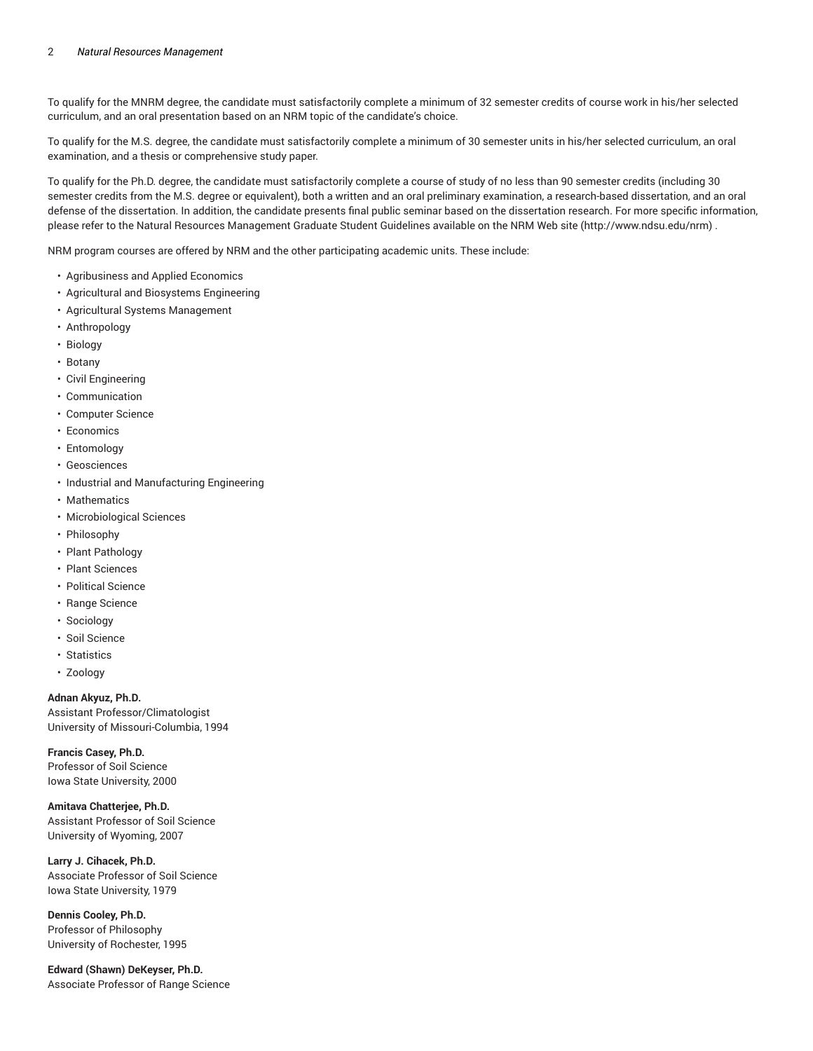To qualify for the MNRM degree, the candidate must satisfactorily complete a minimum of 32 semester credits of course work in his/her selected curriculum, and an oral presentation based on an NRM topic of the candidate's choice.

To qualify for the M.S. degree, the candidate must satisfactorily complete a minimum of 30 semester units in his/her selected curriculum, an oral examination, and a thesis or comprehensive study paper.

To qualify for the Ph.D. degree, the candidate must satisfactorily complete a course of study of no less than 90 semester credits (including 30 semester credits from the M.S. degree or equivalent), both a written and an oral preliminary examination, a research-based dissertation, and an oral defense of the dissertation. In addition, the candidate presents final public seminar based on the dissertation research. For more specific information, please refer to the Natural Resources Management Graduate Student Guidelines available on the NRM Web site (http://www.ndsu.edu/nrm) .

NRM program courses are offered by NRM and the other participating academic units. These include:

- Agribusiness and Applied Economics
- Agricultural and Biosystems Engineering
- Agricultural Systems Management
- Anthropology
- Biology
- Botany
- Civil Engineering
- Communication
- Computer Science
- Economics
- Entomology
- Geosciences
- Industrial and Manufacturing Engineering
- Mathematics
- Microbiological Sciences
- Philosophy
- Plant Pathology
- Plant Sciences
- Political Science
- Range Science
- Sociology
- Soil Science
- Statistics
- Zoology

**Adnan Akyuz, Ph.D.**

Assistant Professor/Climatologist University of Missouri-Columbia, 1994

**Francis Casey, Ph.D.** Professor of Soil Science Iowa State University, 2000

**Amitava Chatterjee, Ph.D.** Assistant Professor of Soil Science University of Wyoming, 2007

**Larry J. Cihacek, Ph.D.** Associate Professor of Soil Science Iowa State University, 1979

**Dennis Cooley, Ph.D.** Professor of Philosophy University of Rochester, 1995

**Edward (Shawn) DeKeyser, Ph.D.** Associate Professor of Range Science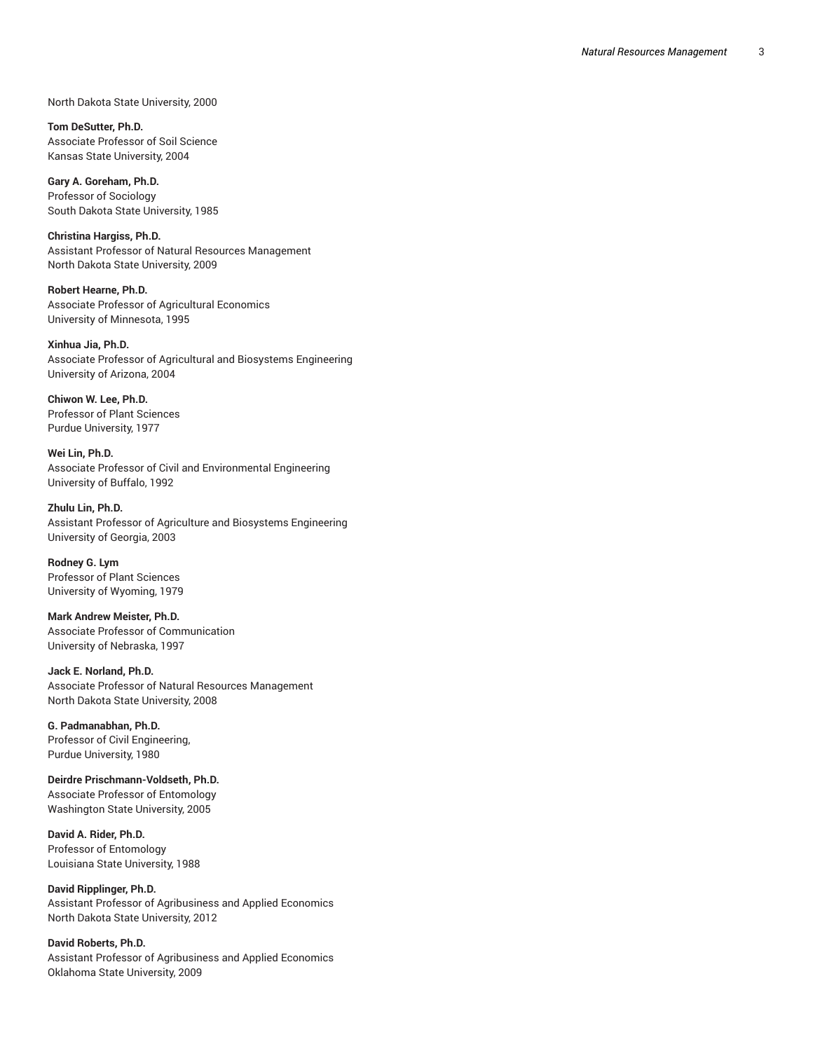North Dakota State University, 2000

**Tom DeSutter, Ph.D.** Associate Professor of Soil Science Kansas State University, 2004

**Gary A. Goreham, Ph.D.** Professor of Sociology South Dakota State University, 1985

**Christina Hargiss, Ph.D.** Assistant Professor of Natural Resources Management North Dakota State University, 2009

**Robert Hearne, Ph.D.** Associate Professor of Agricultural Economics University of Minnesota, 1995

**Xinhua Jia, Ph.D.** Associate Professor of Agricultural and Biosystems Engineering University of Arizona, 2004

**Chiwon W. Lee, Ph.D.** Professor of Plant Sciences Purdue University, 1977

**Wei Lin, Ph.D.** Associate Professor of Civil and Environmental Engineering University of Buffalo, 1992

**Zhulu Lin, Ph.D.** Assistant Professor of Agriculture and Biosystems Engineering University of Georgia, 2003

**Rodney G. Lym** Professor of Plant Sciences University of Wyoming, 1979

**Mark Andrew Meister, Ph.D.** Associate Professor of Communication University of Nebraska, 1997

**Jack E. Norland, Ph.D.** Associate Professor of Natural Resources Management North Dakota State University, 2008

**G. Padmanabhan, Ph.D.** Professor of Civil Engineering, Purdue University, 1980

**Deirdre Prischmann-Voldseth, Ph.D.** Associate Professor of Entomology Washington State University, 2005

**David A. Rider, Ph.D.** Professor of Entomology Louisiana State University, 1988

**David Ripplinger, Ph.D.** Assistant Professor of Agribusiness and Applied Economics North Dakota State University, 2012

**David Roberts, Ph.D.** Assistant Professor of Agribusiness and Applied Economics Oklahoma State University, 2009